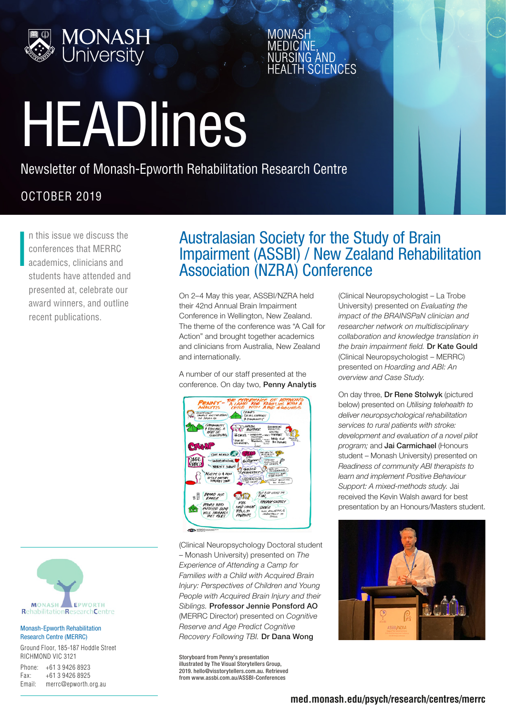

# HEADlines

Newsletter of Monash-Epworth Rehabilitation Research Centre

#### OCTOBER 2019

I n this issue we discuss the conferences that MERRC academics, clinicians and students have attended and presented at, celebrate our award winners, and outline recent publications.



#### Monash-Epworth Rehabilitation Research Centre (MERRC)

Ground Floor, 185-187 Hoddle Street RICHMOND VIC 3121

| Phone: | +61 3 9426 8923      |
|--------|----------------------|
| Fax:   | +61 3 9426 8925      |
| Email: | merrc@epworth.org.au |

### Australasian Society for the Study of Brain Impairment (ASSBI) / New Zealand Rehabilitation Association (NZRA) Conference

AND **SCIENCES** 

On 2–4 May this year, ASSBI/NZRA held their 42nd Annual Brain Impairment Conference in Wellington, New Zealand. The theme of the conference was "A Call for Action" and brought together academics and clinicians from Australia, New Zealand and internationally.

A number of our staff presented at the conference. On day two, Penny Analytis



(Clinical Neuropsychology Doctoral student – Monash University) presented on *The Experience of Attending a Camp for Families with a Child with Acquired Brain Injury: Perspectives of Children and Young People with Acquired Brain Injury and their Siblings.* Professor Jennie Ponsford AO (MERRC Director) presented on *Cognitive Reserve and Age Predict Cognitive Recovery Following TBI.* Dr Dana Wong

Storyboard from Penny's presentation illustrated by The Visual Storytellers Group, 2019. [hello@visstorytellers.com.au](mailto:hello%40visstorytellers.com.au?subject=). Retrieved from [www.assbi.com.au/ASSBI-Conferences](https://www.assbi.com.au/ASSBI-Conferences)

(Clinical Neuropsychologist – La Trobe University) presented on *Evaluating the impact of the BRAINSPaN clinician and researcher network on multidisciplinary collaboration and knowledge translation in the brain impairment field.* Dr Kate Gould (Clinical Neuropsychologist – MERRC) presented on *Hoarding and ABI: An overview and Case Study.* 

On day three, Dr Rene Stolwyk (pictured below) presented on *Utilising telehealth to deliver neuropsychological rehabilitation services to rural patients with stroke: development and evaluation of a novel pilot program;* and Jai Carmichael (Honours student – Monash University) presented on *Readiness of community ABI therapists to learn and implement Positive Behaviour Support: A mixed-methods study.* Jai received the Kevin Walsh award for best presentation by an Honours/Masters student.

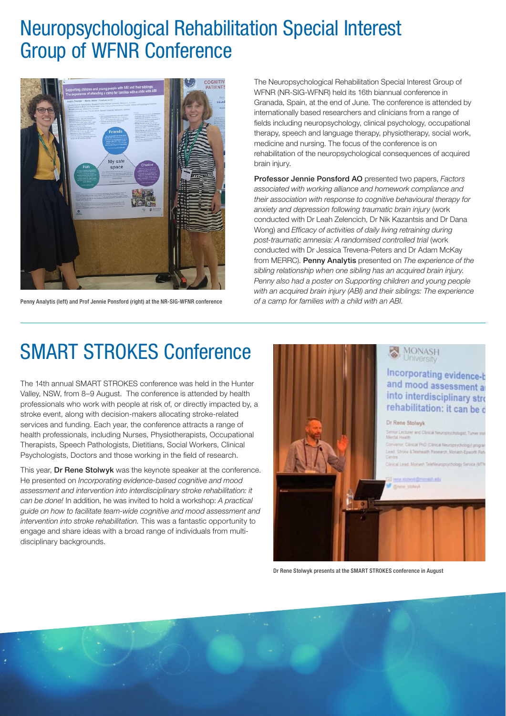## Neuropsychological Rehabilitation Special Interest Group of WFNR Conference



Penny Analytis (left) and Prof Jennie Ponsford (right) at the NR-SIG-WFNR conference

The Neuropsychological Rehabilitation Special Interest Group of WFNR (NR-SIG-WFNR) held its 16th biannual conference in Granada, Spain, at the end of June. The conference is attended by internationally based researchers and clinicians from a range of fields including neuropsychology, clinical psychology, occupational therapy, speech and language therapy, physiotherapy, social work, medicine and nursing. The focus of the conference is on rehabilitation of the neuropsychological consequences of acquired brain injury.

Professor Jennie Ponsford AO presented two papers, *Factors associated with working alliance and homework compliance and their association with response to cognitive behavioural therapy for anxiety and depression following traumatic brain injury* (work conducted with Dr Leah Zelencich, Dr Nik Kazantsis and Dr Dana Wong) and *Efficacy of activities of daily living retraining during post-traumatic amnesia: A randomised controlled trial* (work conducted with Dr Jessica Trevena-Peters and Dr Adam McKay from MERRC). Penny Analytis presented on *The experience of the sibling relationship when one sibling has an acquired brain injury. Penny also had a poster on Supporting children and young people with an acquired brain injury (ABI) and their siblings: The experience of a camp for families with a child with an ABI.*

## SMART STROKES Conference

The 14th annual SMART STROKES conference was held in the Hunter Valley, NSW, from 8–9 August. The conference is attended by health professionals who work with people at risk of, or directly impacted by, a stroke event, along with decision-makers allocating stroke-related services and funding. Each year, the conference attracts a range of health professionals, including Nurses, Physiotherapists, Occupational Therapists, Speech Pathologists, Dietitians, Social Workers, Clinical Psychologists, Doctors and those working in the field of research.

This year, Dr Rene Stolwyk was the keynote speaker at the conference. He presented on *Incorporating evidence-based cognitive and mood assessment and intervention into interdisciplinary stroke rehabilitation: it can be done!* In addition, he was invited to hold a workshop: *A practical guide on how to facilitate team-wide cognitive and mood assessment and intervention into stroke rehabilitation.* This was a fantastic opportunity to engage and share ideas with a broad range of individuals from multidisciplinary backgrounds.



Dr Rene Stolwyk presents at the SMART STROKES conference in August

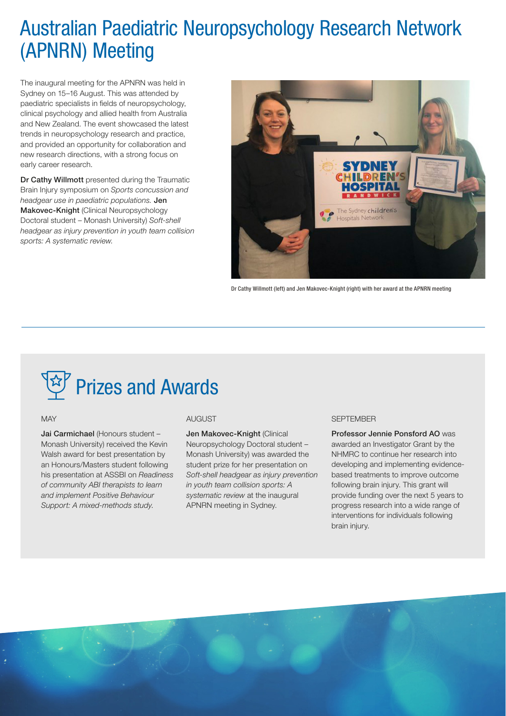## Australian Paediatric Neuropsychology Research Network (APNRN) Meeting

The inaugural meeting for the APNRN was held in Sydney on 15–16 August. This was attended by paediatric specialists in fields of neuropsychology, clinical psychology and allied health from Australia and New Zealand. The event showcased the latest trends in neuropsychology research and practice, and provided an opportunity for collaboration and new research directions, with a strong focus on early career research.

Dr Cathy Willmott presented during the Traumatic Brain Injury symposium on *Sports concussion and headgear use in paediatric populations.* Jen Makovec-Knight (Clinical Neuropsychology Doctoral student – Monash University) *Soft-shell headgear as injury prevention in youth team collision sports: A systematic review.*



Dr Cathy Willmott (left) and Jen Makovec-Knight (right) with her award at the APNRN meeting

## Prizes and Awards

#### **MAY**

Jai Carmichael (Honours student – Monash University) received the Kevin Walsh award for best presentation by an Honours/Masters student following his presentation at ASSBI on *Readiness of community ABI therapists to learn and implement Positive Behaviour Support: A mixed-methods study*.

#### ALIGLIST

Jen Makovec-Knight (Clinical Neuropsychology Doctoral student – Monash University) was awarded the student prize for her presentation on *Soft-shell headgear as injury prevention in youth team collision sports: A systematic review* at the inaugural APNRN meeting in Sydney.

#### **SEPTEMBER**

Professor Jennie Ponsford AO was awarded an Investigator Grant by the NHMRC to continue her research into developing and implementing evidencebased treatments to improve outcome following brain injury. This grant will provide funding over the next 5 years to progress research into a wide range of interventions for individuals following brain injury.